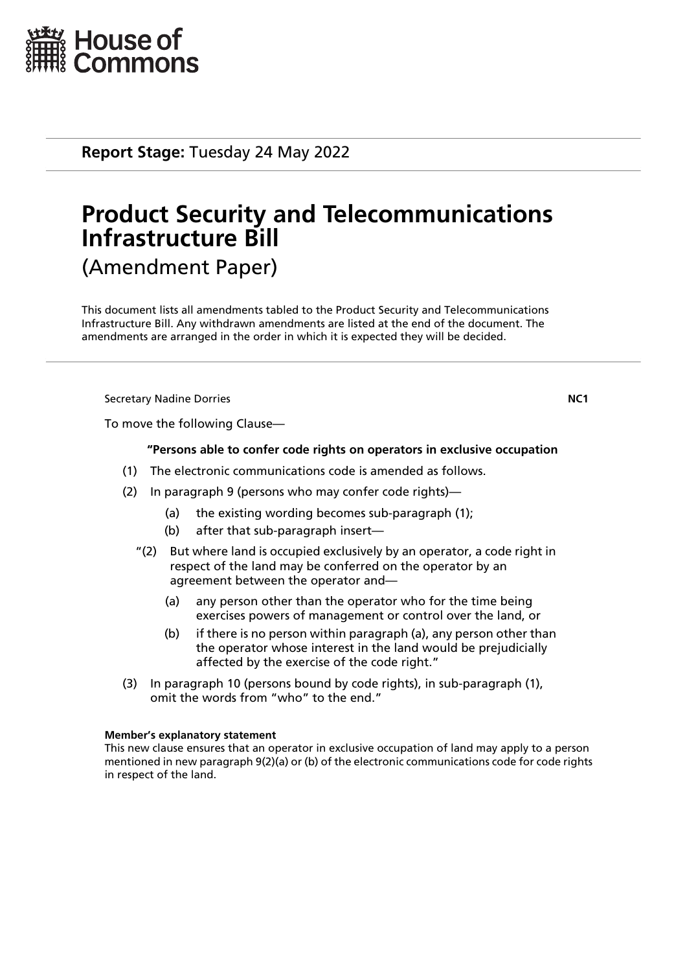

**Report Stage:** Tuesday 24 May 2022

# **Product Security and Telecommunications Infrastructure Bill** (Amendment Paper)

This document lists all amendments tabled to the Product Security and Telecommunications Infrastructure Bill. Any withdrawn amendments are listed at the end of the document. The amendments are arranged in the order in which it is expected they will be decided.

**Secretary Nadine Dorries**  NC1

To move the following Clause—

## **"Persons able to confer code rights on operators in exclusive occupation**

- (1) The electronic communications code is amended as follows.
- (2) In paragraph 9 (persons who may confer code rights)—
	- (a) the existing wording becomes sub-paragraph (1);
	- (b) after that sub-paragraph insert—
	- "(2) But where land is occupied exclusively by an operator, a code right in respect of the land may be conferred on the operator by an agreement between the operator and—
		- (a) any person other than the operator who for the time being exercises powers of management or control over the land, or
		- (b) if there is no person within paragraph (a), any person other than the operator whose interest in the land would be prejudicially affected by the exercise of the code right."
- (3) In paragraph 10 (persons bound by code rights), in sub-paragraph (1), omit the words from "who" to the end."

#### **Member's explanatory statement**

This new clause ensures that an operator in exclusive occupation of land may apply to a person mentioned in new paragraph 9(2)(a) or (b) of the electronic communications code for code rights in respect of the land.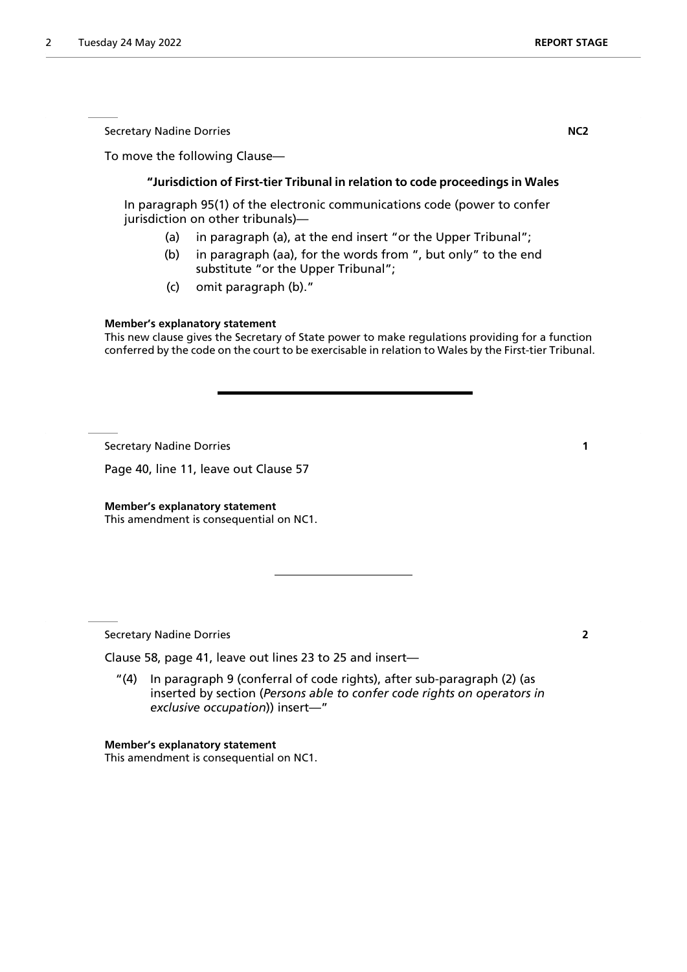Secretary Nadine Dorries **NC2** 

To move the following Clause—

## **"Jurisdiction of First-tier Tribunal in relation to code proceedings in Wales**

In paragraph 95(1) of the electronic communications code (power to confer jurisdiction on other tribunals)—

- (a) in paragraph (a), at the end insert "or the Upper Tribunal";
- (b) in paragraph (aa), for the words from ", but only" to the end substitute "or the Upper Tribunal";
- (c) omit paragraph (b)."

## **Member's explanatory statement**

This new clause gives the Secretary of State power to make regulations providing for a function conferred by the code on the court to be exercisable in relation to Wales by the First-tier Tribunal.

Secretary Nadine Dorries **1**

Page 40, line 11, leave out Clause 57

**Member's explanatory statement** This amendment is consequential on NC1.

Secretary Nadine Dorries **2**

Clause 58, page 41, leave out lines 23 to 25 and insert—

"(4) In paragraph 9 (conferral of code rights), after sub-paragraph (2) (as inserted by section (*Persons able to confer code rights on operators in exclusive occupation*)) insert—"

**Member's explanatory statement**

This amendment is consequential on NC1.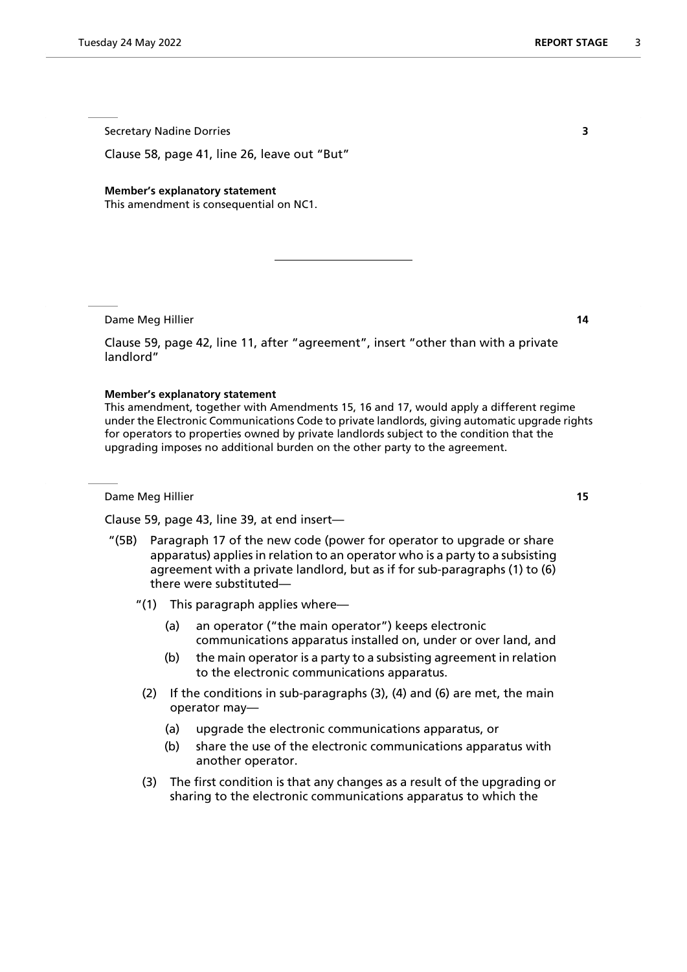Secretary Nadine Dorries **3**

Clause 58, page 41, line 26, leave out "But"

#### **Member's explanatory statement**

This amendment is consequential on NC1.

Dame Meg Hillier **14**

Clause 59, page 42, line 11, after "agreement", insert "other than with a private landlord"

#### **Member's explanatory statement**

This amendment, together with Amendments 15, 16 and 17, would apply a different regime under the Electronic Communications Code to private landlords, giving automatic upgrade rights for operators to properties owned by private landlords subject to the condition that the upgrading imposes no additional burden on the other party to the agreement.

Dame Meg Hillier **15**

Clause 59, page 43, line 39, at end insert—

- "(5B) Paragraph 17 of the new code (power for operator to upgrade or share apparatus) applies in relation to an operator who is a party to a subsisting agreement with a private landlord, but as if for sub-paragraphs (1) to (6) there were substituted—
	- "(1) This paragraph applies where—
		- (a) an operator ("the main operator") keeps electronic communications apparatus installed on, under or over land, and
		- (b) the main operator is a party to a subsisting agreement in relation to the electronic communications apparatus.
	- (2) If the conditions in sub-paragraphs (3), (4) and (6) are met, the main operator may—
		- (a) upgrade the electronic communications apparatus, or
		- (b) share the use of the electronic communications apparatus with another operator.
	- (3) The first condition is that any changes as a result of the upgrading or sharing to the electronic communications apparatus to which the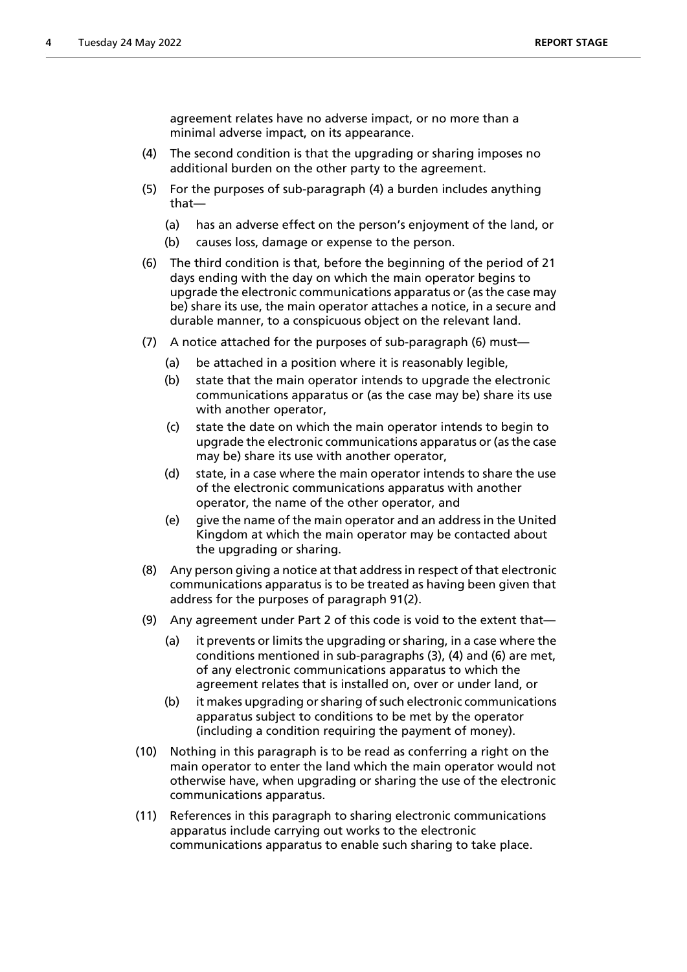agreement relates have no adverse impact, or no more than a minimal adverse impact, on its appearance.

- (4) The second condition is that the upgrading or sharing imposes no additional burden on the other party to the agreement.
- (5) For the purposes of sub-paragraph (4) a burden includes anything that—
	- (a) has an adverse effect on the person's enjoyment of the land, or
	- (b) causes loss, damage or expense to the person.
- (6) The third condition is that, before the beginning of the period of 21 days ending with the day on which the main operator begins to upgrade the electronic communications apparatus or (as the case may be) share its use, the main operator attaches a notice, in a secure and durable manner, to a conspicuous object on the relevant land.
- (7) A notice attached for the purposes of sub-paragraph (6) must—
	- (a) be attached in a position where it is reasonably legible.
	- (b) state that the main operator intends to upgrade the electronic communications apparatus or (as the case may be) share its use with another operator,
	- (c) state the date on which the main operator intends to begin to upgrade the electronic communications apparatus or (as the case may be) share its use with another operator,
	- (d) state, in a case where the main operator intends to share the use of the electronic communications apparatus with another operator, the name of the other operator, and
	- (e) give the name of the main operator and an address in the United Kingdom at which the main operator may be contacted about the upgrading or sharing.
- (8) Any person giving a notice at that address in respect of that electronic communications apparatus is to be treated as having been given that address for the purposes of paragraph 91(2).
- (9) Any agreement under Part 2 of this code is void to the extent that—
	- (a) it prevents or limits the upgrading or sharing, in a case where the conditions mentioned in sub-paragraphs (3), (4) and (6) are met, of any electronic communications apparatus to which the agreement relates that is installed on, over or under land, or
	- (b) it makes upgrading or sharing of such electronic communications apparatus subject to conditions to be met by the operator (including a condition requiring the payment of money).
- (10) Nothing in this paragraph is to be read as conferring a right on the main operator to enter the land which the main operator would not otherwise have, when upgrading or sharing the use of the electronic communications apparatus.
- (11) References in this paragraph to sharing electronic communications apparatus include carrying out works to the electronic communications apparatus to enable such sharing to take place.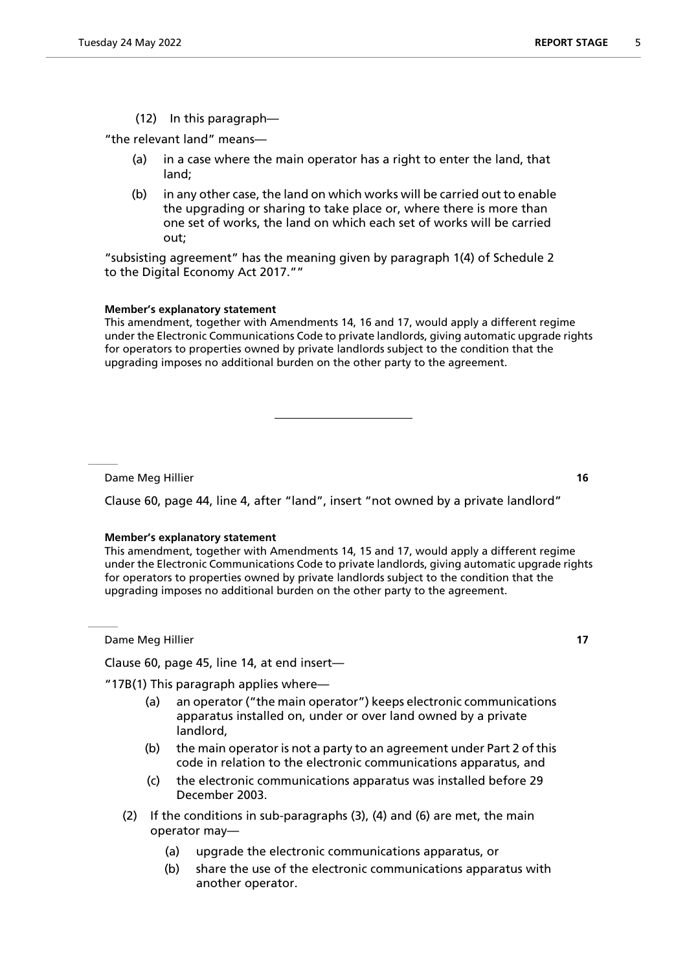(12) In this paragraph—

"the relevant land" means—

- (a) in a case where the main operator has a right to enter the land, that land;
- (b) in any other case, the land on which works will be carried out to enable the upgrading or sharing to take place or, where there is more than one set of works, the land on which each set of works will be carried out;

"subsisting agreement" has the meaning given by paragraph 1(4) of Schedule 2 to the Digital Economy Act 2017.""

#### **Member's explanatory statement**

This amendment, together with Amendments 14, 16 and 17, would apply a different regime under the Electronic Communications Code to private landlords, giving automatic upgrade rights for operators to properties owned by private landlords subject to the condition that the upgrading imposes no additional burden on the other party to the agreement.

Dame Meg Hillier **16**

Clause 60, page 44, line 4, after "land", insert "not owned by a private landlord"

## **Member's explanatory statement**

This amendment, together with Amendments 14, 15 and 17, would apply a different regime under the Electronic Communications Code to private landlords, giving automatic upgrade rights for operators to properties owned by private landlords subject to the condition that the upgrading imposes no additional burden on the other party to the agreement.

Dame Meg Hillier **17**

Clause 60, page 45, line 14, at end insert—

"17B(1) This paragraph applies where—

- (a) an operator ("the main operator") keeps electronic communications apparatus installed on, under or over land owned by a private landlord,
- (b) the main operator is not a party to an agreement under Part 2 of this code in relation to the electronic communications apparatus, and
- (c) the electronic communications apparatus was installed before 29 December 2003.
- (2) If the conditions in sub-paragraphs (3), (4) and (6) are met, the main operator may—
	- (a) upgrade the electronic communications apparatus, or
	- (b) share the use of the electronic communications apparatus with another operator.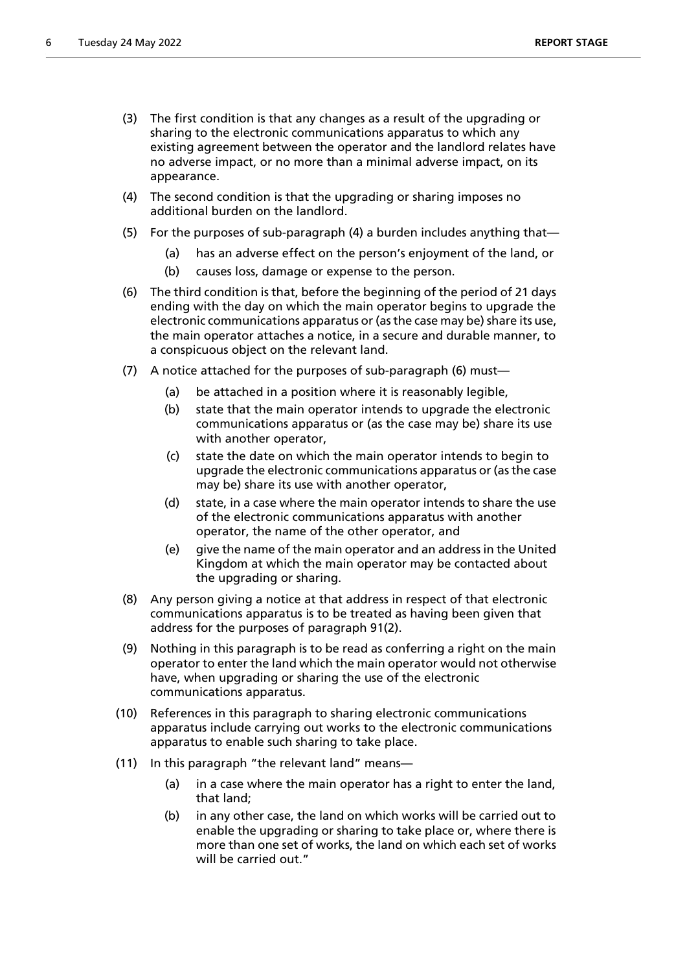- (3) The first condition is that any changes as a result of the upgrading or sharing to the electronic communications apparatus to which any existing agreement between the operator and the landlord relates have no adverse impact, or no more than a minimal adverse impact, on its appearance.
- (4) The second condition is that the upgrading or sharing imposes no additional burden on the landlord.
- (5) For the purposes of sub-paragraph (4) a burden includes anything that—
	- (a) has an adverse effect on the person's enjoyment of the land, or
	- (b) causes loss, damage or expense to the person.
- (6) The third condition is that, before the beginning of the period of 21 days ending with the day on which the main operator begins to upgrade the electronic communications apparatus or (as the case may be) share its use, the main operator attaches a notice, in a secure and durable manner, to a conspicuous object on the relevant land.
- (7) A notice attached for the purposes of sub-paragraph (6) must—
	- (a) be attached in a position where it is reasonably legible,
	- (b) state that the main operator intends to upgrade the electronic communications apparatus or (as the case may be) share its use with another operator,
	- (c) state the date on which the main operator intends to begin to upgrade the electronic communications apparatus or (as the case may be) share its use with another operator,
	- (d) state, in a case where the main operator intends to share the use of the electronic communications apparatus with another operator, the name of the other operator, and
	- (e) give the name of the main operator and an address in the United Kingdom at which the main operator may be contacted about the upgrading or sharing.
- (8) Any person giving a notice at that address in respect of that electronic communications apparatus is to be treated as having been given that address for the purposes of paragraph 91(2).
- (9) Nothing in this paragraph is to be read as conferring a right on the main operator to enter the land which the main operator would not otherwise have, when upgrading or sharing the use of the electronic communications apparatus.
- (10) References in this paragraph to sharing electronic communications apparatus include carrying out works to the electronic communications apparatus to enable such sharing to take place.
- (11) In this paragraph "the relevant land" means—
	- (a) in a case where the main operator has a right to enter the land, that land;
	- (b) in any other case, the land on which works will be carried out to enable the upgrading or sharing to take place or, where there is more than one set of works, the land on which each set of works will be carried out."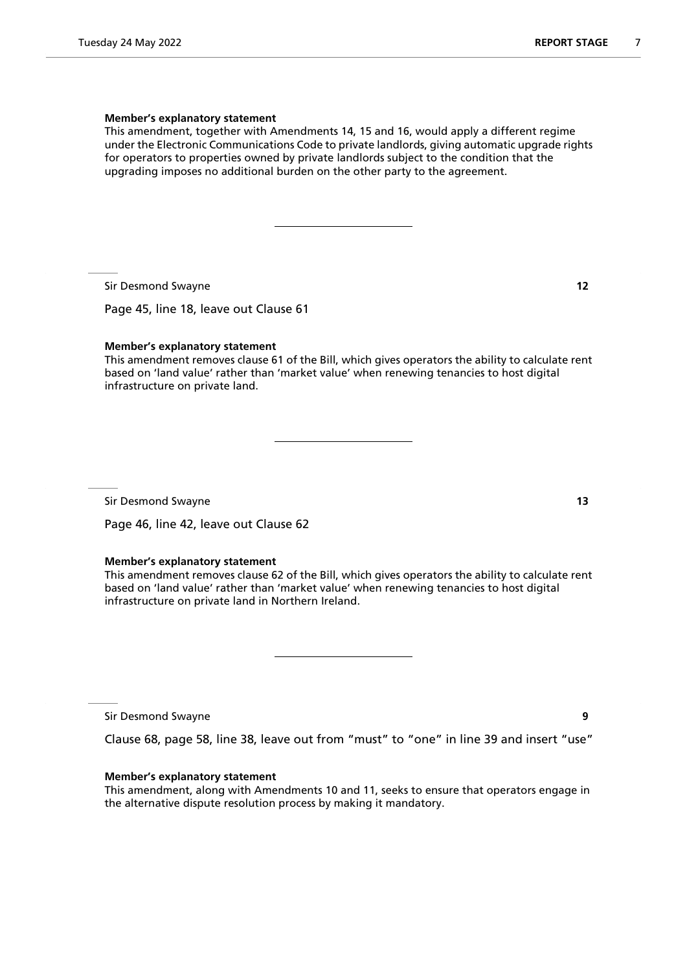### **Member's explanatory statement**

This amendment, together with Amendments 14, 15 and 16, would apply a different regime under the Electronic Communications Code to private landlords, giving automatic upgrade rights for operators to properties owned by private landlords subject to the condition that the upgrading imposes no additional burden on the other party to the agreement.

Sir Desmond Swayne **12**

Page 45, line 18, leave out Clause 61

#### **Member's explanatory statement**

This amendment removes clause 61 of the Bill, which gives operators the ability to calculate rent based on 'land value' rather than 'market value' when renewing tenancies to host digital infrastructure on private land.

Sir Desmond Swayne **13**

Page 46, line 42, leave out Clause 62

## **Member's explanatory statement**

This amendment removes clause 62 of the Bill, which gives operators the ability to calculate rent based on 'land value' rather than 'market value' when renewing tenancies to host digital infrastructure on private land in Northern Ireland.

Sir Desmond Swayne **9**

Clause 68, page 58, line 38, leave out from "must" to "one" in line 39 and insert "use"

#### **Member's explanatory statement**

This amendment, along with Amendments 10 and 11, seeks to ensure that operators engage in the alternative dispute resolution process by making it mandatory.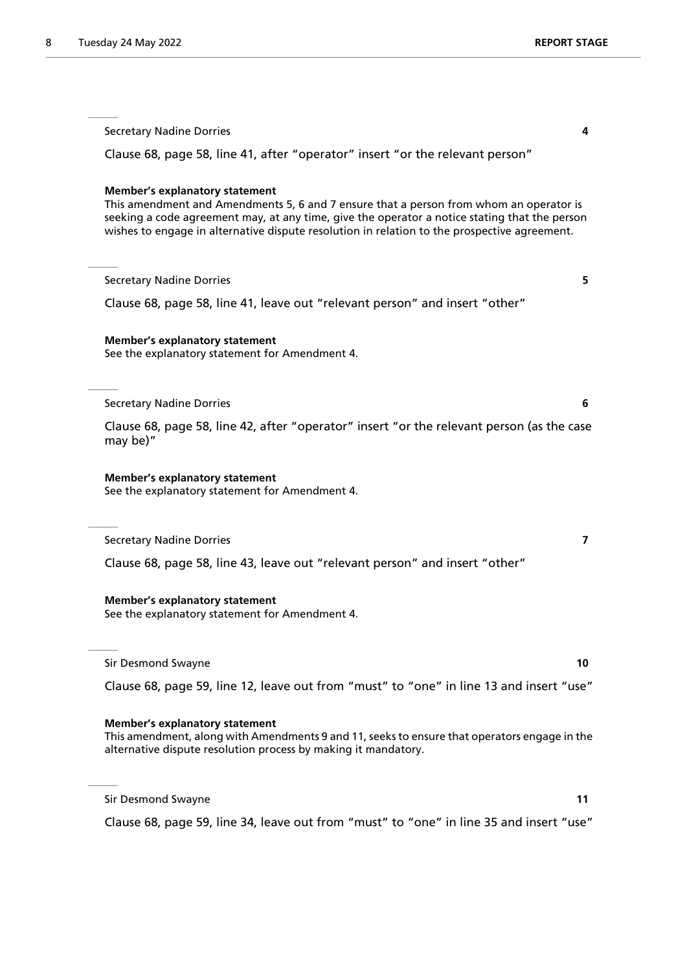| <b>Secretary Nadine Dorries</b><br>4                                                                                                                                                                                                                                                                                             |
|----------------------------------------------------------------------------------------------------------------------------------------------------------------------------------------------------------------------------------------------------------------------------------------------------------------------------------|
| Clause 68, page 58, line 41, after "operator" insert "or the relevant person"                                                                                                                                                                                                                                                    |
| <b>Member's explanatory statement</b><br>This amendment and Amendments 5, 6 and 7 ensure that a person from whom an operator is<br>seeking a code agreement may, at any time, give the operator a notice stating that the person<br>wishes to engage in alternative dispute resolution in relation to the prospective agreement. |
| <b>Secretary Nadine Dorries</b><br>5.                                                                                                                                                                                                                                                                                            |
| Clause 68, page 58, line 41, leave out "relevant person" and insert "other"                                                                                                                                                                                                                                                      |
| <b>Member's explanatory statement</b><br>See the explanatory statement for Amendment 4.                                                                                                                                                                                                                                          |
| <b>Secretary Nadine Dorries</b><br>6                                                                                                                                                                                                                                                                                             |
| Clause 68, page 58, line 42, after "operator" insert "or the relevant person (as the case<br>may be)"                                                                                                                                                                                                                            |
| <b>Member's explanatory statement</b><br>See the explanatory statement for Amendment 4.                                                                                                                                                                                                                                          |
| <b>Secretary Nadine Dorries</b><br>$\overline{ }$                                                                                                                                                                                                                                                                                |
| Clause 68, page 58, line 43, leave out "relevant person" and insert "other"                                                                                                                                                                                                                                                      |
| <b>Member's explanatory statement</b><br>See the explanatory statement for Amendment 4.                                                                                                                                                                                                                                          |
| <b>Sir Desmond Swayne</b><br>10                                                                                                                                                                                                                                                                                                  |
| Clause 68, page 59, line 12, leave out from "must" to "one" in line 13 and insert "use"                                                                                                                                                                                                                                          |
| <b>Member's explanatory statement</b><br>This amendment, along with Amendments 9 and 11, seeks to ensure that operators engage in the<br>alternative dispute resolution process by making it mandatory.                                                                                                                          |

Sir Desmond Swayne **11**

Clause 68, page 59, line 34, leave out from "must" to "one" in line 35 and insert "use"